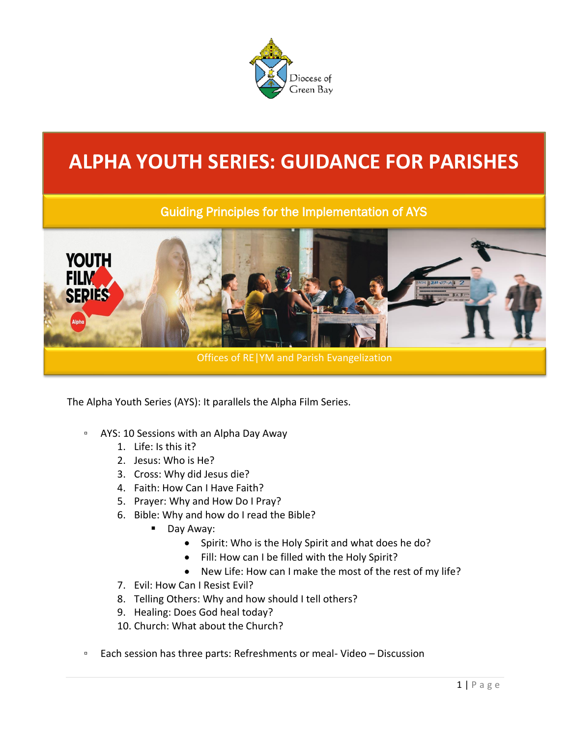

# **ALPHA YOUTH SERIES: GUIDANCE FOR PARISHES**

## Guiding Principles for the Implementation of AYS



The Alpha Youth Series (AYS): It parallels the Alpha Film Series.

- AYS: 10 Sessions with an Alpha Day Away
	- 1. Life: Is this it?
	- 2. Jesus: Who is He?
	- 3. Cross: Why did Jesus die?
	- 4. Faith: How Can I Have Faith?
	- 5. Prayer: Why and How Do I Pray?
	- 6. Bible: Why and how do I read the Bible?
		- Day Away:
			- Spirit: Who is the Holy Spirit and what does he do?
			- Fill: How can I be filled with the Holy Spirit?
			- New Life: How can I make the most of the rest of my life?
	- 7. Evil: How Can I Resist Evil?
	- 8. Telling Others: Why and how should I tell others?
	- 9. Healing: Does God heal today?
	- 10. Church: What about the Church?
- Each session has three parts: Refreshments or meal- Video Discussion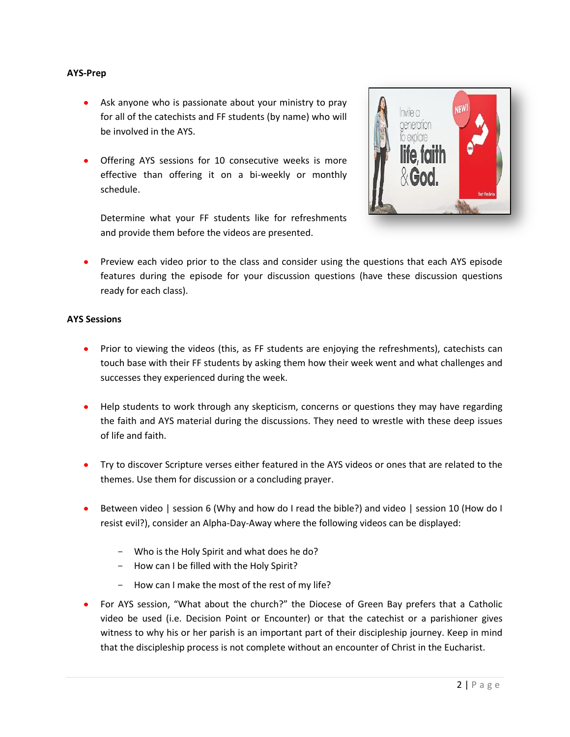#### **AYS-Prep**

- Ask anyone who is passionate about your ministry to pray for all of the catechists and FF students (by name) who will be involved in the AYS.
- Offering AYS sessions for 10 consecutive weeks is more effective than offering it on a bi-weekly or monthly schedule.



Determine what your FF students like for refreshments and provide them before the videos are presented.

• Preview each video prior to the class and consider using the questions that each AYS episode features during the episode for your discussion questions (have these discussion questions ready for each class).

#### **AYS Sessions**

- Prior to viewing the videos (this, as FF students are enjoying the refreshments), catechists can touch base with their FF students by asking them how their week went and what challenges and successes they experienced during the week.
- Help students to work through any skepticism, concerns or questions they may have regarding the faith and AYS material during the discussions. They need to wrestle with these deep issues of life and faith.
- Try to discover Scripture verses either featured in the AYS videos or ones that are related to the themes. Use them for discussion or a concluding prayer.
- Between video | session 6 (Why and how do I read the bible?) and video | session 10 (How do I resist evil?), consider an Alpha-Day-Away where the following videos can be displayed:
	- Who is the Holy Spirit and what does he do?
	- How can I be filled with the Holy Spirit?
	- How can I make the most of the rest of my life?
- For AYS session, "What about the church?" the Diocese of Green Bay prefers that a Catholic video be used (i.e. Decision Point or Encounter) or that the catechist or a parishioner gives witness to why his or her parish is an important part of their discipleship journey. Keep in mind that the discipleship process is not complete without an encounter of Christ in the Eucharist.